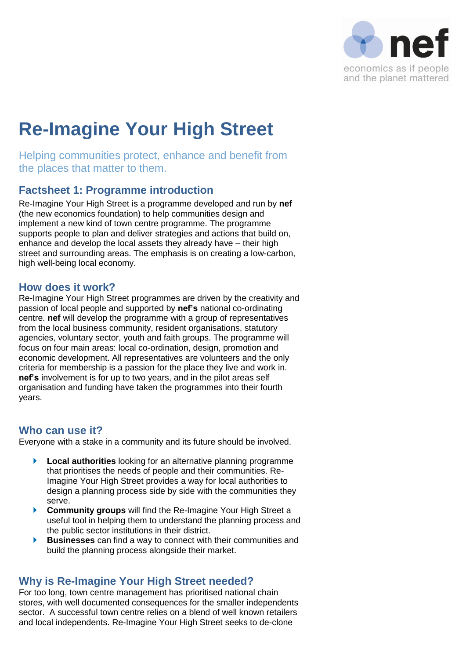

# **Re-Imagine Your High Street**

Helping communities protect, enhance and benefit from the places that matter to them.

### **Factsheet 1: Programme introduction**

Re-Imagine Your High Street is a programme developed and run by **nef** (the new economics foundation) to help communities design and implement a new kind of town centre programme. The programme supports people to plan and deliver strategies and actions that build on, enhance and develop the local assets they already have – their high street and surrounding areas. The emphasis is on creating a low-carbon, high well-being local economy.

#### **How does it work?**

Re-Imagine Your High Street programmes are driven by the creativity and passion of local people and supported by **nef's** national co-ordinating centre. **nef** will develop the programme with a group of representatives from the local business community, resident organisations, statutory agencies, voluntary sector, youth and faith groups. The programme will focus on four main areas: local co-ordination, design, promotion and economic development. All representatives are volunteers and the only criteria for membership is a passion for the place they live and work in. **nef's** involvement is for up to two years, and in the pilot areas self organisation and funding have taken the programmes into their fourth years.

#### **Who can use it?**

Everyone with a stake in a community and its future should be involved.

- **Local authorities** looking for an alternative planning programme that prioritises the needs of people and their communities. Re-Imagine Your High Street provides a way for local authorities to design a planning process side by side with the communities they serve.
- **Community groups** will find the Re-Imagine Your High Street a useful tool in helping them to understand the planning process and the public sector institutions in their district.
- **Businesses** can find a way to connect with their communities and build the planning process alongside their market.

## **Why is Re-Imagine Your High Street needed?**

For too long, town centre management has prioritised national chain stores, with well documented consequences for the smaller independents sector. A successful town centre relies on a blend of well known retailers and local independents. Re-Imagine Your High Street seeks to de-clone